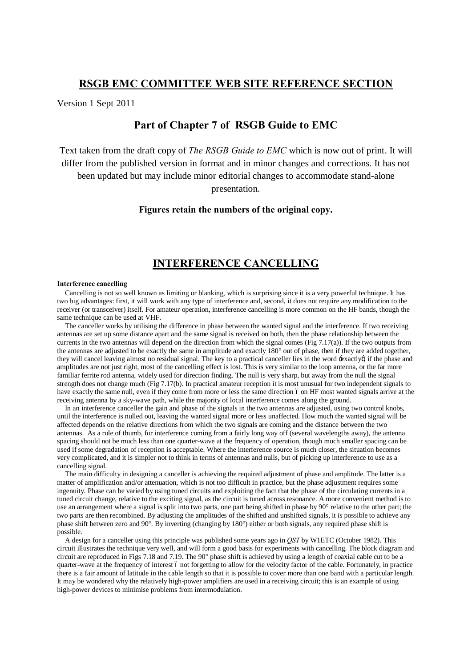# **RSGB EMC COMMITTEE WEB SITE REFERENCE SECTION**

Version 1 Sept 2011

## **Part of Chapter 7 of RSGB Guide to EMC**

Text taken from the draft copy of *The RSGB Guide to EMC* which is now out of print. It will differ from the published version in format and in minor changes and corrections. It has not been updated but may include minor editorial changes to accommodate stand-alone

presentation.

### **Figures retain the numbers of the original copy.**

## **INTERFERENCE CANCELLING**

#### **Interference cancelling**

Cancelling is not so well known as limiting or blanking, which is surprising since it is a very powerful technique. It has two big advantages: first, it will work with any type of interference and, second, it does not require any modification to the receiver (or transceiver) itself. For amateur operation, interference cancelling is more common on the HF bands, though the same technique can be used at VHF.

The canceller works by utilising the difference in phase between the wanted signal and the interference. If two receiving antennas are set up some distance apart and the same signal is received on both, then the phase relationship between the currents in the two antennas will depend on the direction from which the signal comes (Fig  $7.17(a)$ ). If the two outputs from the antennas are adjusted to be exactly the same in amplitude and exactly 180° out of phase, then if they are added together, they will cancel leaving almost no residual signal. The key to a practical canceller lies in the word  $\pm$ xactlyg if the phase and amplitudes are not just right, most of the cancelling effect is lost. This is very similar to the loop antenna, or the far more familiar ferrite rod antenna, widely used for direction finding. The null is very sharp, but away from the null the signal strength does not change much (Fig 7.17(b). In practical amateur reception it is most unusual for two independent signals to have exactly the same null, even if they come from more or less the same direction 6 on HF most wanted signals arrive at the receiving antenna by a sky-wave path, while the majority of local interference comes along the ground.

In an interference canceller the gain and phase of the signals in the two antennas are adjusted, using two control knobs, until the interference is nulled out, leaving the wanted signal more or less unaffected. How much the wanted signal will be affected depends on the relative directions from which the two signals are coming and the distance between the two antennas. As a rule of thumb, for interference coming from a fairly long way off (several wavelengths away), the antenna spacing should not be much less than one quarter-wave at the frequency of operation, though much smaller spacing can be used if some degradation of reception is acceptable. Where the interference source is much closer, the situation becomes very complicated, and it is simpler not to think in terms of antennas and nulls, but of picking up interference to use as a cancelling signal.

The main difficulty in designing a canceller is achieving the required adjustment of phase and amplitude. The latter is a matter of amplification and/or attenuation, which is not too difficult in practice, but the phase adjustment requires some ingenuity. Phase can be varied by using tuned circuits and exploiting the fact that the phase of the circulating currents in a tuned circuit change, relative to the exciting signal, as the circuit is tuned across resonance. A more convenient method is to use an arrangement where a signal is split into two parts, one part being shifted in phase by 90° relative to the other part; the two parts are then recombined. By adjusting the amplitudes of the shifted and unshifted signals, it is possible to achieve any phase shift between zero and 90°. By inverting (changing by 180°) either or both signals, any required phase shift is possible.

A design for a canceller using this principle was published some years ago in *QST* by W1ETC (October 1982). This circuit illustrates the technique very well, and will form a good basis for experiments with cancelling. The block diagram and circuit are reproduced in Figs 7.18 and 7.19. The 90° phase shift is achieved by using a length of coaxial cable cut to be a quarter-wave at the frequency of interest 6 not forgetting to allow for the velocity factor of the cable. Fortunately, in practice there is a fair amount of latitude in the cable length so that it is possible to cover more than one band with a particular length. It may be wondered why the relatively high-power amplifiers are used in a receiving circuit; this is an example of using high-power devices to minimise problems from intermodulation.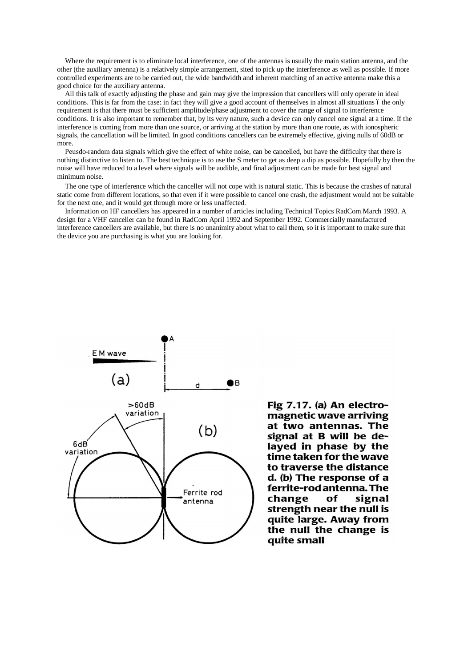Where the requirement is to eliminate local interference, one of the antennas is usually the main station antenna, and the other (the auxiliary antenna) is a relatively simple arrangement, sited to pick up the interference as well as possible. If more controlled experiments are to be carried out, the wide bandwidth and inherent matching of an active antenna make this a good choice for the auxiliary antenna.

All this talk of exactly adjusting the phase and gain may give the impression that cancellers will only operate in ideal conditions. This is far from the case: in fact they will give a good account of themselves in almost all situations 6 the only requirement is that there must be sufficient amplitude/phase adjustment to cover the range of signal to interference conditions. It is also important to remember that, by its very nature, such a device can only cancel one signal at a time. If the interference is coming from more than one source, or arriving at the station by more than one route, as with ionospheric signals, the cancellation will be limited. In good conditions cancellers can be extremely effective, giving nulls of 60dB or more.

Peusdo-random data signals which give the effect of white noise, can be cancelled, but have the difficulty that there is nothing distinctive to listen to. The best technique is to use the S meter to get as deep a dip as possible. Hopefully by then the noise will have reduced to a level where signals will be audible, and final adjustment can be made for best signal and minimum noise.

The one type of interference which the canceller will not cope with is natural static. This is because the crashes of natural static come from different locations, so that even if it were possible to cancel one crash, the adjustment would not be suitable for the next one, and it would get through more or less unaffected.

Information on HF cancellers has appeared in a number of articles including Technical Topics RadCom March 1993. A design for a VHF canceller can be found in RadCom April 1992 and September 1992. Commercially manufactured interference cancellers are available, but there is no unanimity about what to call them, so it is important to make sure that the device you are purchasing is what you are looking for.



Fig 7.17. (a) An electromagnetic wave arriving at two antennas. The signal at B will be delayed in phase by the time taken for the wave to traverse the distance d. (b) The response of a ferrite-rod antenna. The change of signal strength near the null is quite large. Away from the null the change is quite small